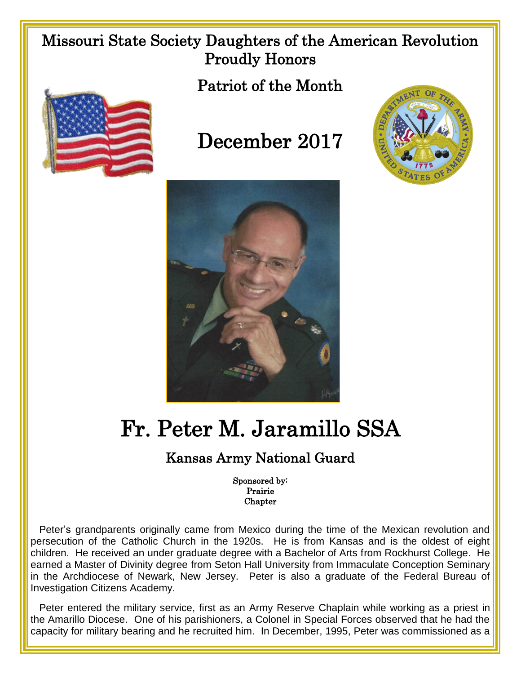## Missouri State Society Daughters of the American Revolution Proudly Honors



Patriot of the Month

## December 2017





## Fr. Peter M. Jaramillo SSA

## Kansas Army National Guard

Sponsored by: Prairie **Chapter** 

 Peter's grandparents originally came from Mexico during the time of the Mexican revolution and persecution of the Catholic Church in the 1920s. He is from Kansas and is the oldest of eight children. He received an under graduate degree with a Bachelor of Arts from Rockhurst College. He earned a Master of Divinity degree from Seton Hall University from Immaculate Conception Seminary in the Archdiocese of Newark, New Jersey. Peter is also a graduate of the Federal Bureau of Investigation Citizens Academy.

 Peter entered the military service, first as an Army Reserve Chaplain while working as a priest in the Amarillo Diocese. One of his parishioners, a Colonel in Special Forces observed that he had the capacity for military bearing and he recruited him. In December, 1995, Peter was commissioned as a